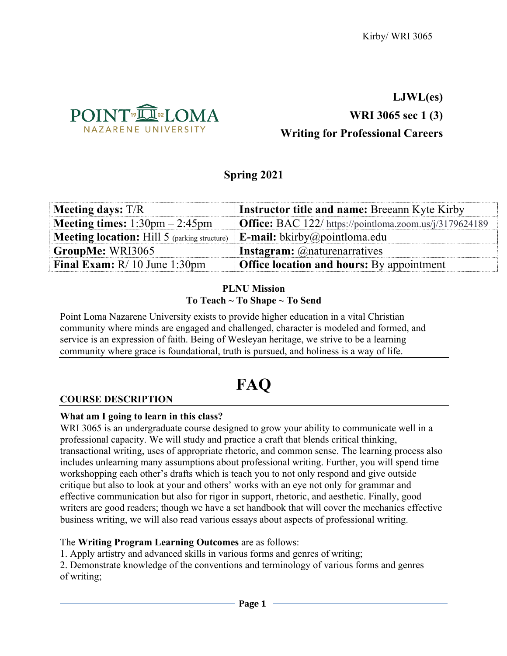

## **LJWL(es)**

## **WRI 3065 sec 1 (3)**

## **Writing for Professional Careers**

## **Spring 2021**

| <b>Meeting days:</b> T/R                                | <b>Instructor title and name: Breeann Kyte Kirby</b>                |
|---------------------------------------------------------|---------------------------------------------------------------------|
| <b>Meeting times:</b> $1:30 \text{pm} - 2:45 \text{pm}$ | <b>Office:</b> BAC $122/$ https://pointloma.zoom.us/ $i/3179624189$ |
| <b>Meeting location:</b> Hill $5$ (parking structure)   | <b>E-mail:</b> bkirby@pointloma.edu                                 |
| GroupMe: WRI3065                                        | <b>Instagram:</b> @naturenarratives                                 |
| <b>Final Exam:</b> $R/10$ June 1:30pm                   | <b>Office location and hours:</b> By appointment                    |

#### **PLNU Mission To Teach ~ To Shape ~ To Send**

Point Loma Nazarene University exists to provide higher education in a vital Christian community where minds are engaged and challenged, character is modeled and formed, and service is an expression of faith. Being of Wesleyan heritage, we strive to be a learning community where grace is foundational, truth is pursued, and holiness is a way of life.

# **FAQ**

## **COURSE DESCRIPTION**

## **What am I going to learn in this class?**

WRI 3065 is an undergraduate course designed to grow your ability to communicate well in a professional capacity. We will study and practice a craft that blends critical thinking, transactional writing, uses of appropriate rhetoric, and common sense. The learning process also includes unlearning many assumptions about professional writing. Further, you will spend time workshopping each other's drafts which is teach you to not only respond and give outside critique but also to look at your and others' works with an eye not only for grammar and effective communication but also for rigor in support, rhetoric, and aesthetic. Finally, good writers are good readers; though we have a set handbook that will cover the mechanics effective business writing, we will also read various essays about aspects of professional writing.

## The **Writing Program Learning Outcomes** are as follows:

1. Apply artistry and advanced skills in various forms and genres of writing;

2. Demonstrate knowledge of the conventions and terminology of various forms and genres of writing;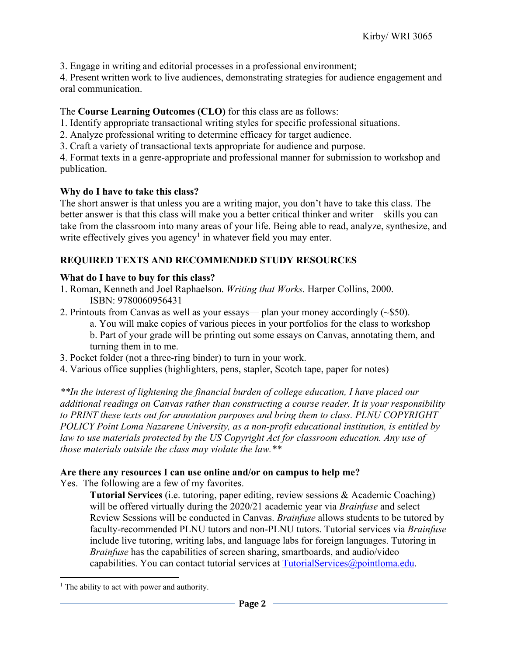3. Engage in writing and editorial processes in a professional environment;

4. Present written work to live audiences, demonstrating strategies for audience engagement and oral communication.

## The **Course Learning Outcomes (CLO)** for this class are as follows:

1. Identify appropriate transactional writing styles for specific professional situations.

- 2. Analyze professional writing to determine efficacy for target audience.
- 3. Craft a variety of transactional texts appropriate for audience and purpose.

4. Format texts in a genre-appropriate and professional manner for submission to workshop and publication.

## **Why do I have to take this class?**

The short answer is that unless you are a writing major, you don't have to take this class. The better answer is that this class will make you a better critical thinker and writer—skills you can take from the classroom into many areas of your life. Being able to read, analyze, synthesize, and write effectively gives you agency<sup>1</sup> in whatever field you may enter.

## **REQUIRED TEXTS AND RECOMMENDED STUDY RESOURCES**

## **What do I have to buy for this class?**

- 1. Roman, Kenneth and Joel Raphaelson. *Writing that Works.* Harper Collins, 2000. ISBN: 9780060956431
- 2. Printouts from Canvas as well as your essays— plan your money accordingly (~\$50).

a. You will make copies of various pieces in your portfolios for the class to workshop b. Part of your grade will be printing out some essays on Canvas, annotating them, and turning them in to me.

- 3. Pocket folder (not a three-ring binder) to turn in your work.
- 4. Various office supplies (highlighters, pens, stapler, Scotch tape, paper for notes)

*\*\*In the interest of lightening the financial burden of college education, I have placed our additional readings on Canvas rather than constructing a course reader. It is your responsibility to PRINT these texts out for annotation purposes and bring them to class. PLNU COPYRIGHT POLICY Point Loma Nazarene University, as a non-profit educational institution, is entitled by law to use materials protected by the US Copyright Act for classroom education. Any use of those materials outside the class may violate the law.\*\**

## **Are there any resources I can use online and/or on campus to help me?**

Yes. The following are a few of my favorites.

**Tutorial Services** (i.e. tutoring, paper editing, review sessions & Academic Coaching) will be offered virtually during the 2020/21 academic year via *Brainfuse* and select Review Sessions will be conducted in Canvas. *Brainfuse* allows students to be tutored by faculty-recommended PLNU tutors and non-PLNU tutors. Tutorial services via *Brainfuse* include live tutoring, writing labs, and language labs for foreign languages. Tutoring in *Brainfuse* has the capabilities of screen sharing, smartboards, and audio/video capabilities. You can contact tutorial services at TutorialServices@pointloma.edu.

 $<sup>1</sup>$  The ability to act with power and authority.</sup>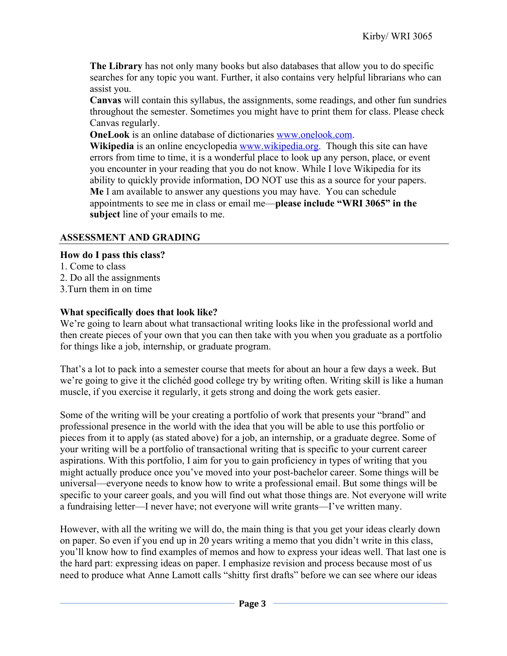**The Library** has not only many books but also databases that allow you to do specific searches for any topic you want. Further, it also contains very helpful librarians who can assist you.

**Canvas** will contain this syllabus, the assignments, some readings, and other fun sundries throughout the semester. Sometimes you might have to print them for class. Please check Canvas regularly.

**OneLook** is an online database of dictionaries www.onelook.com.

**Wikipedia** is an online encyclopedia www.wikipedia.org. Though this site can have errors from time to time, it is a wonderful place to look up any person, place, or event you encounter in your reading that you do not know. While I love Wikipedia for its ability to quickly provide information, DO NOT use this as a source for your papers. **Me** I am available to answer any questions you may have. You can schedule appointments to see me in class or email me—**please include "WRI 3065" in the subject** line of your emails to me.

## **ASSESSMENT AND GRADING**

## **How do I pass this class?**

- 1. Come to class
- 2. Do all the assignments
- 3.Turn them in on time

## **What specifically does that look like?**

We're going to learn about what transactional writing looks like in the professional world and then create pieces of your own that you can then take with you when you graduate as a portfolio for things like a job, internship, or graduate program.

That's a lot to pack into a semester course that meets for about an hour a few days a week. But we're going to give it the clichéd good college try by writing often. Writing skill is like a human muscle, if you exercise it regularly, it gets strong and doing the work gets easier.

Some of the writing will be your creating a portfolio of work that presents your "brand" and professional presence in the world with the idea that you will be able to use this portfolio or pieces from it to apply (as stated above) for a job, an internship, or a graduate degree. Some of your writing will be a portfolio of transactional writing that is specific to your current career aspirations. With this portfolio, I aim for you to gain proficiency in types of writing that you might actually produce once you've moved into your post-bachelor career. Some things will be universal—everyone needs to know how to write a professional email. But some things will be specific to your career goals, and you will find out what those things are. Not everyone will write a fundraising letter—I never have; not everyone will write grants—I've written many.

However, with all the writing we will do, the main thing is that you get your ideas clearly down on paper. So even if you end up in 20 years writing a memo that you didn't write in this class, you'll know how to find examples of memos and how to express your ideas well. That last one is the hard part: expressing ideas on paper. I emphasize revision and process because most of us need to produce what Anne Lamott calls "shitty first drafts" before we can see where our ideas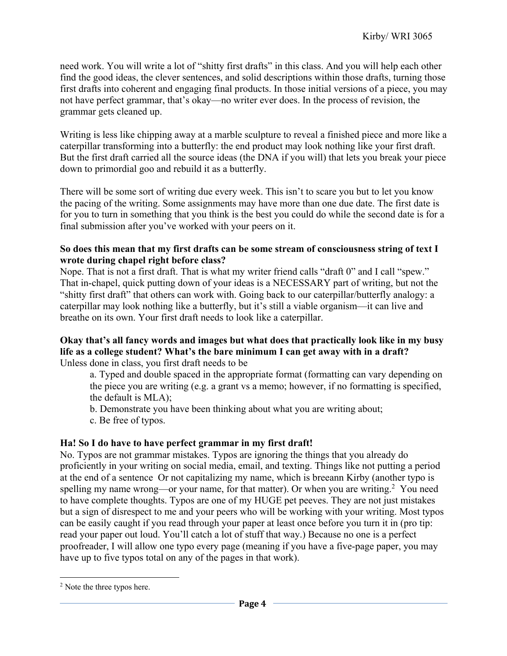need work. You will write a lot of "shitty first drafts" in this class. And you will help each other find the good ideas, the clever sentences, and solid descriptions within those drafts, turning those first drafts into coherent and engaging final products. In those initial versions of a piece, you may not have perfect grammar, that's okay—no writer ever does. In the process of revision, the grammar gets cleaned up.

Writing is less like chipping away at a marble sculpture to reveal a finished piece and more like a caterpillar transforming into a butterfly: the end product may look nothing like your first draft. But the first draft carried all the source ideas (the DNA if you will) that lets you break your piece down to primordial goo and rebuild it as a butterfly.

There will be some sort of writing due every week. This isn't to scare you but to let you know the pacing of the writing. Some assignments may have more than one due date. The first date is for you to turn in something that you think is the best you could do while the second date is for a final submission after you've worked with your peers on it.

#### **So does this mean that my first drafts can be some stream of consciousness string of text I wrote during chapel right before class?**

Nope. That is not a first draft. That is what my writer friend calls "draft 0" and I call "spew." That in-chapel, quick putting down of your ideas is a NECESSARY part of writing, but not the "shitty first draft" that others can work with. Going back to our caterpillar/butterfly analogy: a caterpillar may look nothing like a butterfly, but it's still a viable organism—it can live and breathe on its own. Your first draft needs to look like a caterpillar.

#### **Okay that's all fancy words and images but what does that practically look like in my busy life as a college student? What's the bare minimum I can get away with in a draft?** Unless done in class, you first draft needs to be

a. Typed and double spaced in the appropriate format (formatting can vary depending on the piece you are writing (e.g. a grant vs a memo; however, if no formatting is specified, the default is MLA);

b. Demonstrate you have been thinking about what you are writing about;

c. Be free of typos.

## **Ha! So I do have to have perfect grammar in my first draft!**

No. Typos are not grammar mistakes. Typos are ignoring the things that you already do proficiently in your writing on social media, email, and texting. Things like not putting a period at the end of a sentence Or not capitalizing my name, which is breeann Kirby (another typo is spelling my name wrong—or your name, for that matter). Or when you are writing.<sup>2</sup> You need to have complete thoughts. Typos are one of my HUGE pet peeves. They are not just mistakes but a sign of disrespect to me and your peers who will be working with your writing. Most typos can be easily caught if you read through your paper at least once before you turn it in (pro tip: read your paper out loud. You'll catch a lot of stuff that way.) Because no one is a perfect proofreader, I will allow one typo every page (meaning if you have a five-page paper, you may have up to five typos total on any of the pages in that work).

<sup>&</sup>lt;sup>2</sup> Note the three typos here.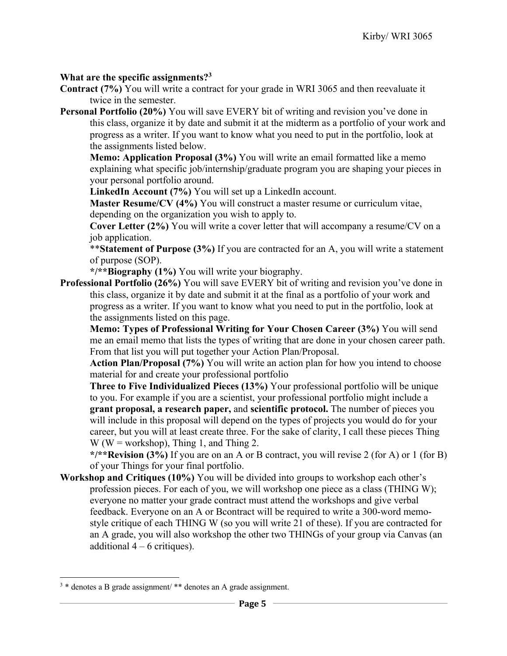### **What are the specific assignments?3**

- **Contract (7%)** You will write a contract for your grade in WRI 3065 and then reevaluate it twice in the semester.
- **Personal Portfolio (20%)** You will save EVERY bit of writing and revision you've done in this class, organize it by date and submit it at the midterm as a portfolio of your work and progress as a writer. If you want to know what you need to put in the portfolio, look at the assignments listed below.

**Memo: Application Proposal (3%)** You will write an email formatted like a memo explaining what specific job/internship/graduate program you are shaping your pieces in your personal portfolio around.

**LinkedIn Account (7%)** You will set up a LinkedIn account.

**Master Resume/CV (4%)** You will construct a master resume or curriculum vitae, depending on the organization you wish to apply to.

**Cover Letter (2%)** You will write a cover letter that will accompany a resume/CV on a job application.

\*\***Statement of Purpose (3%)** If you are contracted for an A, you will write a statement of purpose (SOP).

**\*/\*\*Biography (1%)** You will write your biography.

**Professional Portfolio (26%)** You will save EVERY bit of writing and revision you've done in this class, organize it by date and submit it at the final as a portfolio of your work and progress as a writer. If you want to know what you need to put in the portfolio, look at the assignments listed on this page.

**Memo: Types of Professional Writing for Your Chosen Career (3%)** You will send me an email memo that lists the types of writing that are done in your chosen career path. From that list you will put together your Action Plan/Proposal.

**Action Plan/Proposal (7%)** You will write an action plan for how you intend to choose material for and create your professional portfolio

**Three to Five Individualized Pieces (13%)** Your professional portfolio will be unique to you. For example if you are a scientist, your professional portfolio might include a **grant proposal, a research paper,** and **scientific protocol.** The number of pieces you will include in this proposal will depend on the types of projects you would do for your career, but you will at least create three. For the sake of clarity, I call these pieces Thing W ( $W =$  workshop), Thing 1, and Thing 2.

**\*/\*\*Revision (3%)** If you are on an A or B contract, you will revise 2 (for A) or 1 (for B) of your Things for your final portfolio.

**Workshop and Critiques (10%)** You will be divided into groups to workshop each other's profession pieces. For each of you, we will workshop one piece as a class (THING W); everyone no matter your grade contract must attend the workshops and give verbal feedback. Everyone on an A or Bcontract will be required to write a 300-word memostyle critique of each THING W (so you will write 21 of these). If you are contracted for an A grade, you will also workshop the other two THINGs of your group via Canvas (an additional  $4 - 6$  critiques).

<sup>&</sup>lt;sup>3</sup> \* denotes a B grade assignment/ \*\* denotes an A grade assignment.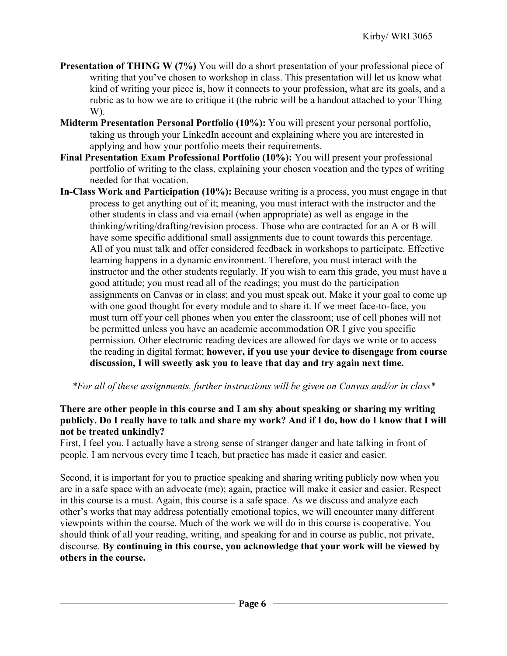- **Presentation of THING W (7%)** You will do a short presentation of your professional piece of writing that you've chosen to workshop in class. This presentation will let us know what kind of writing your piece is, how it connects to your profession, what are its goals, and a rubric as to how we are to critique it (the rubric will be a handout attached to your Thing W).
- **Midterm Presentation Personal Portfolio (10%):** You will present your personal portfolio, taking us through your LinkedIn account and explaining where you are interested in applying and how your portfolio meets their requirements.
- **Final Presentation Exam Professional Portfolio (10%):** You will present your professional portfolio of writing to the class, explaining your chosen vocation and the types of writing needed for that vocation.
- **In-Class Work and Participation (10%):** Because writing is a process, you must engage in that process to get anything out of it; meaning, you must interact with the instructor and the other students in class and via email (when appropriate) as well as engage in the thinking/writing/drafting/revision process. Those who are contracted for an A or B will have some specific additional small assignments due to count towards this percentage. All of you must talk and offer considered feedback in workshops to participate. Effective learning happens in a dynamic environment. Therefore, you must interact with the instructor and the other students regularly. If you wish to earn this grade, you must have a good attitude; you must read all of the readings; you must do the participation assignments on Canvas or in class; and you must speak out. Make it your goal to come up with one good thought for every module and to share it. If we meet face-to-face, you must turn off your cell phones when you enter the classroom; use of cell phones will not be permitted unless you have an academic accommodation OR I give you specific permission. Other electronic reading devices are allowed for days we write or to access the reading in digital format; **however, if you use your device to disengage from course discussion, I will sweetly ask you to leave that day and try again next time.**

## *\*For all of these assignments, further instructions will be given on Canvas and/or in class\**

## **There are other people in this course and I am shy about speaking or sharing my writing publicly. Do I really have to talk and share my work? And if I do, how do I know that I will not be treated unkindly?**

First, I feel you. I actually have a strong sense of stranger danger and hate talking in front of people. I am nervous every time I teach, but practice has made it easier and easier.

Second, it is important for you to practice speaking and sharing writing publicly now when you are in a safe space with an advocate (me); again, practice will make it easier and easier. Respect in this course is a must. Again, this course is a safe space. As we discuss and analyze each other's works that may address potentially emotional topics, we will encounter many different viewpoints within the course. Much of the work we will do in this course is cooperative. You should think of all your reading, writing, and speaking for and in course as public, not private, discourse. **By continuing in this course, you acknowledge that your work will be viewed by others in the course.**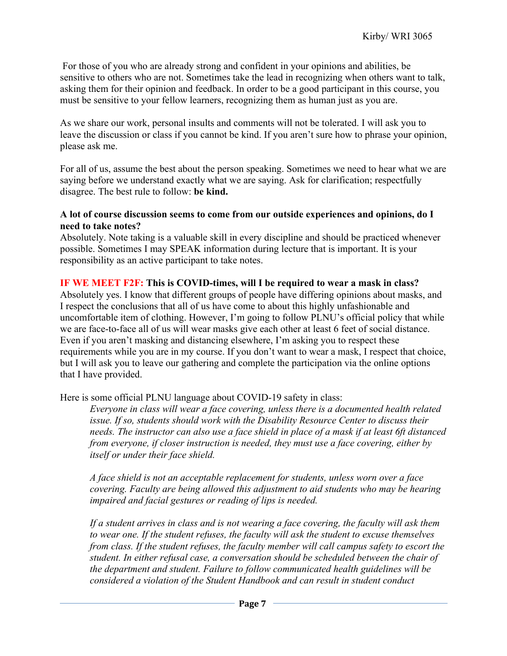For those of you who are already strong and confident in your opinions and abilities, be sensitive to others who are not. Sometimes take the lead in recognizing when others want to talk, asking them for their opinion and feedback. In order to be a good participant in this course, you must be sensitive to your fellow learners, recognizing them as human just as you are.

As we share our work, personal insults and comments will not be tolerated. I will ask you to leave the discussion or class if you cannot be kind. If you aren't sure how to phrase your opinion, please ask me.

For all of us, assume the best about the person speaking. Sometimes we need to hear what we are saying before we understand exactly what we are saying. Ask for clarification; respectfully disagree. The best rule to follow: **be kind.**

#### **A lot of course discussion seems to come from our outside experiences and opinions, do I need to take notes?**

Absolutely. Note taking is a valuable skill in every discipline and should be practiced whenever possible. Sometimes I may SPEAK information during lecture that is important. It is your responsibility as an active participant to take notes.

## **IF WE MEET F2F: This is COVID-times, will I be required to wear a mask in class?**

Absolutely yes. I know that different groups of people have differing opinions about masks, and I respect the conclusions that all of us have come to about this highly unfashionable and uncomfortable item of clothing. However, I'm going to follow PLNU's official policy that while we are face-to-face all of us will wear masks give each other at least 6 feet of social distance. Even if you aren't masking and distancing elsewhere, I'm asking you to respect these requirements while you are in my course. If you don't want to wear a mask, I respect that choice, but I will ask you to leave our gathering and complete the participation via the online options that I have provided.

Here is some official PLNU language about COVID-19 safety in class:

*Everyone in class will wear a face covering, unless there is a documented health related issue. If so, students should work with the Disability Resource Center to discuss their needs. The instructor can also use a face shield in place of a mask if at least 6ft distanced from everyone, if closer instruction is needed, they must use a face covering, either by itself or under their face shield.* 

*A face shield is not an acceptable replacement for students, unless worn over a face covering. Faculty are being allowed this adjustment to aid students who may be hearing impaired and facial gestures or reading of lips is needed.* 

*If a student arrives in class and is not wearing a face covering, the faculty will ask them to wear one. If the student refuses, the faculty will ask the student to excuse themselves from class. If the student refuses, the faculty member will call campus safety to escort the student. In either refusal case, a conversation should be scheduled between the chair of the department and student. Failure to follow communicated health guidelines will be considered a violation of the Student Handbook and can result in student conduct*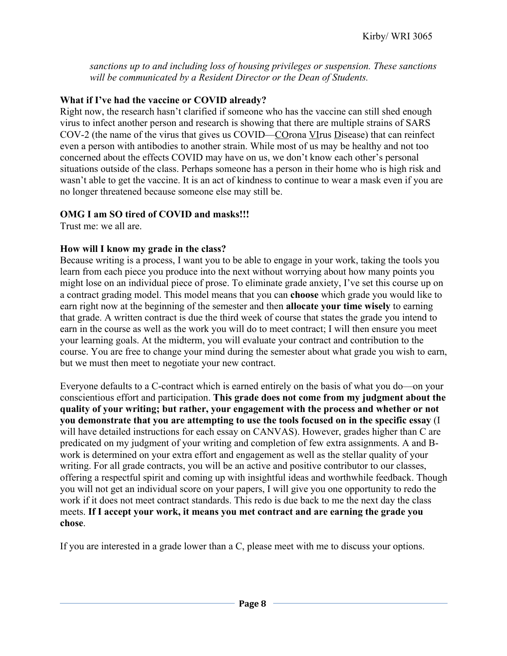*sanctions up to and including loss of housing privileges or suspension. These sanctions will be communicated by a Resident Director or the Dean of Students.*

## **What if I've had the vaccine or COVID already?**

Right now, the research hasn't clarified if someone who has the vaccine can still shed enough virus to infect another person and research is showing that there are multiple strains of SARS COV-2 (the name of the virus that gives us COVID—COrona VIrus Disease) that can reinfect even a person with antibodies to another strain. While most of us may be healthy and not too concerned about the effects COVID may have on us, we don't know each other's personal situations outside of the class. Perhaps someone has a person in their home who is high risk and wasn't able to get the vaccine. It is an act of kindness to continue to wear a mask even if you are no longer threatened because someone else may still be.

## **OMG I am SO tired of COVID and masks!!!**

Trust me: we all are.

## **How will I know my grade in the class?**

Because writing is a process, I want you to be able to engage in your work, taking the tools you learn from each piece you produce into the next without worrying about how many points you might lose on an individual piece of prose. To eliminate grade anxiety, I've set this course up on a contract grading model. This model means that you can **choose** which grade you would like to earn right now at the beginning of the semester and then **allocate your time wisely** to earning that grade. A written contract is due the third week of course that states the grade you intend to earn in the course as well as the work you will do to meet contract; I will then ensure you meet your learning goals. At the midterm, you will evaluate your contract and contribution to the course. You are free to change your mind during the semester about what grade you wish to earn, but we must then meet to negotiate your new contract.

Everyone defaults to a C-contract which is earned entirely on the basis of what you do—on your conscientious effort and participation. **This grade does not come from my judgment about the quality of your writing; but rather, your engagement with the process and whether or not you demonstrate that you are attempting to use the tools focused on in the specific essay** (I will have detailed instructions for each essay on CANVAS). However, grades higher than C are predicated on my judgment of your writing and completion of few extra assignments. A and Bwork is determined on your extra effort and engagement as well as the stellar quality of your writing. For all grade contracts, you will be an active and positive contributor to our classes, offering a respectful spirit and coming up with insightful ideas and worthwhile feedback. Though you will not get an individual score on your papers, I will give you one opportunity to redo the work if it does not meet contract standards. This redo is due back to me the next day the class meets. **If I accept your work, it means you met contract and are earning the grade you chose**.

If you are interested in a grade lower than a C, please meet with me to discuss your options.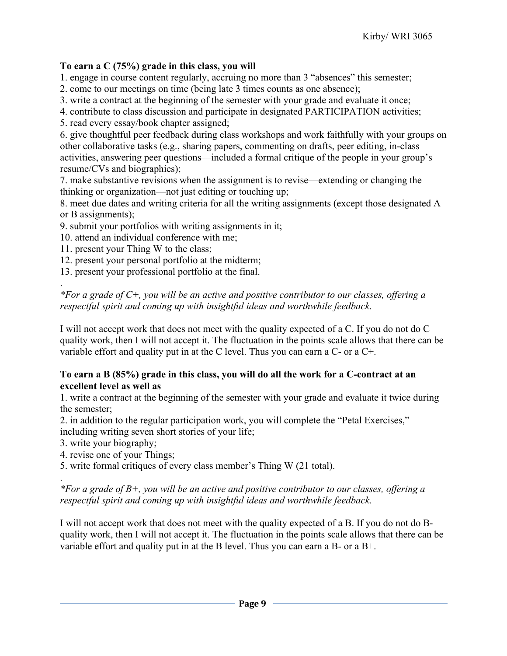## **To earn a C (75%) grade in this class, you will**

1. engage in course content regularly, accruing no more than 3 "absences" this semester;

2. come to our meetings on time (being late 3 times counts as one absence);

3. write a contract at the beginning of the semester with your grade and evaluate it once;

4. contribute to class discussion and participate in designated PARTICIPATION activities;

5. read every essay/book chapter assigned;

6. give thoughtful peer feedback during class workshops and work faithfully with your groups on other collaborative tasks (e.g., sharing papers, commenting on drafts, peer editing, in-class activities, answering peer questions—included a formal critique of the people in your group's resume/CVs and biographies);

7. make substantive revisions when the assignment is to revise—extending or changing the thinking or organization—not just editing or touching up;

8. meet due dates and writing criteria for all the writing assignments (except those designated A or B assignments);

9. submit your portfolios with writing assignments in it;

10. attend an individual conference with me;

11. present your Thing W to the class;

12. present your personal portfolio at the midterm;

13. present your professional portfolio at the final.

*\*For a grade of C+, you will be an active and positive contributor to our classes, offering a respectful spirit and coming up with insightful ideas and worthwhile feedback.*

I will not accept work that does not meet with the quality expected of a C. If you do not do C quality work, then I will not accept it. The fluctuation in the points scale allows that there can be variable effort and quality put in at the C level. Thus you can earn a C- or a C+.

## **To earn a B (85%) grade in this class, you will do all the work for a C-contract at an excellent level as well as**

1. write a contract at the beginning of the semester with your grade and evaluate it twice during the semester;

2. in addition to the regular participation work, you will complete the "Petal Exercises," including writing seven short stories of your life;

3. write your biography;

.

.

4. revise one of your Things;

5. write formal critiques of every class member's Thing W (21 total).

*\*For a grade of B+, you will be an active and positive contributor to our classes, offering a respectful spirit and coming up with insightful ideas and worthwhile feedback.*

I will not accept work that does not meet with the quality expected of a B. If you do not do Bquality work, then I will not accept it. The fluctuation in the points scale allows that there can be variable effort and quality put in at the B level. Thus you can earn a B- or a B+.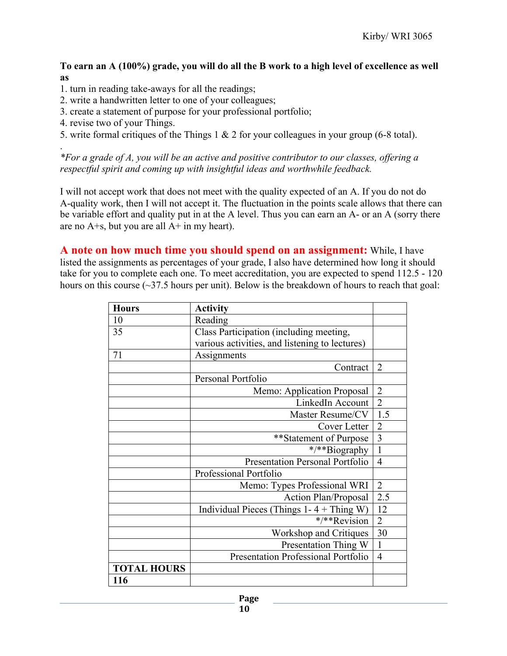**To earn an A (100%) grade, you will do all the B work to a high level of excellence as well as** 

- 1. turn in reading take-aways for all the readings;
- 2. write a handwritten letter to one of your colleagues;
- 3. create a statement of purpose for your professional portfolio;
- 4. revise two of your Things.

.

5. write formal critiques of the Things 1 & 2 for your colleagues in your group (6-8 total).

*\*For a grade of A, you will be an active and positive contributor to our classes, offering a respectful spirit and coming up with insightful ideas and worthwhile feedback.*

I will not accept work that does not meet with the quality expected of an A. If you do not do A-quality work, then I will not accept it. The fluctuation in the points scale allows that there can be variable effort and quality put in at the A level. Thus you can earn an A- or an A (sorry there are no  $A + s$ , but you are all  $A + in$  my heart).

**A note on how much time you should spend on an assignment:** While, I have listed the assignments as percentages of your grade, I also have determined how long it should take for you to complete each one. To meet accreditation, you are expected to spend 112.5 - 120 hours on this course  $(\sim]37.5$  hours per unit). Below is the breakdown of hours to reach that goal:

| <b>Hours</b>       | <b>Activity</b>                                |                |
|--------------------|------------------------------------------------|----------------|
| 10                 | Reading                                        |                |
| 35                 | Class Participation (including meeting,        |                |
|                    | various activities, and listening to lectures) |                |
| 71                 | Assignments                                    |                |
|                    | Contract                                       | $\overline{2}$ |
|                    | Personal Portfolio                             |                |
|                    | Memo: Application Proposal                     | $\overline{2}$ |
|                    | LinkedIn Account                               | $\overline{2}$ |
|                    | Master Resume/CV                               | 1.5            |
|                    | Cover Letter                                   | $\overline{2}$ |
|                    | **Statement of Purpose                         | $\overline{3}$ |
|                    | */**Biography                                  | $\mathbf{1}$   |
|                    | <b>Presentation Personal Portfolio</b>         | $\overline{4}$ |
|                    | Professional Portfolio                         |                |
|                    | Memo: Types Professional WRI                   | $\overline{2}$ |
|                    | <b>Action Plan/Proposal</b>                    | 2.5            |
|                    | Individual Pieces (Things $1 - 4 +$ Thing W)   | 12             |
|                    | */**Revision                                   | $\overline{2}$ |
|                    | Workshop and Critiques                         | 30             |
|                    | Presentation Thing W                           | $\mathbf{1}$   |
|                    | Presentation Professional Portfolio            | $\overline{4}$ |
| <b>TOTAL HOURS</b> |                                                |                |
| 116                |                                                |                |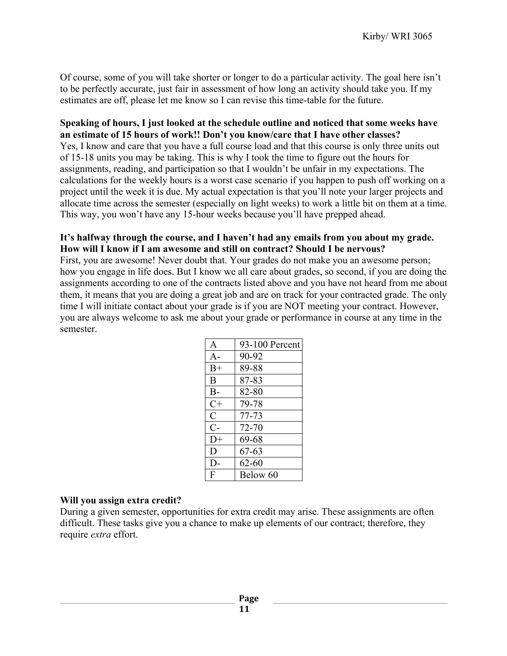Of course, some of you will take shorter or longer to do a particular activity. The goal here isn't to be perfectly accurate, just fair in assessment of how long an activity should take you. If my estimates are off, please let me know so I can revise this time-table for the future.

#### **Speaking of hours, I just looked at the schedule outline and noticed that some weeks have an estimate of 15 hours of work!! Don't you know/care that I have other classes?**

Yes, I know and care that you have a full course load and that this course is only three units out of 15-18 units you may be taking. This is why I took the time to figure out the hours for assignments, reading, and participation so that I wouldn't be unfair in my expectations. The calculations for the weekly hours is a worst case scenario if you happen to push off working on a project until the week it is due. My actual expectation is that you'll note your larger projects and allocate time across the semester (especially on light weeks) to work a little bit on them at a time. This way, you won't have any 15-hour weeks because you'll have prepped ahead.

#### **It's halfway through the course, and I haven't had any emails from you about my grade. How will I know if I am awesome and still on contract? Should I be nervous?**

First, you are awesome! Never doubt that. Your grades do not make you an awesome person; how you engage in life does. But I know we all care about grades, so second, if you are doing the assignments according to one of the contracts listed above and you have not heard from me about them, it means that you are doing a great job and are on track for your contracted grade. The only time I will initiate contact about your grade is if you are NOT meeting your contract. However, you are always welcome to ask me about your grade or performance in course at any time in the semester.

| A           | 93-100 Percent |
|-------------|----------------|
| $A -$       | 90-92          |
| $B+$        | 89-88          |
| B           | 87-83          |
| $B-$        | 82-80          |
| $C+$        | 79-78          |
| $\mathbf C$ | 77-73          |
| $C-$        | 72-70          |
| $D+$        | 69-68          |
| D           | $67 - 63$      |
| D-          | $62 - 60$      |
| F           | Below 60       |

#### **Will you assign extra credit?**

During a given semester, opportunities for extra credit may arise. These assignments are often difficult. These tasks give you a chance to make up elements of our contract; therefore, they require *extra* effort.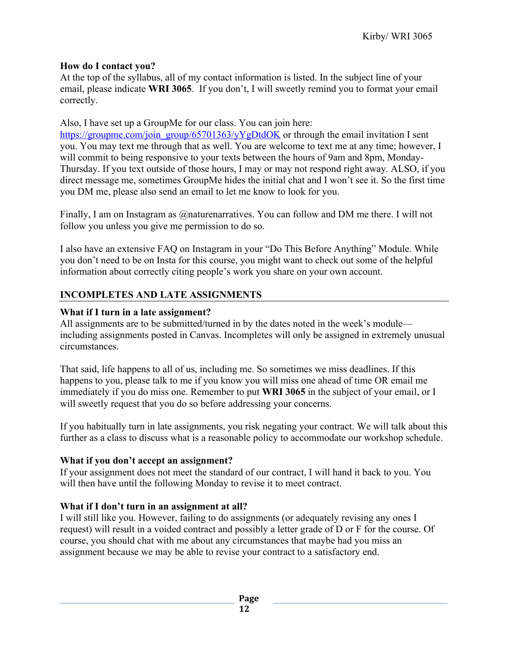## **How do I contact you?**

At the top of the syllabus, all of my contact information is listed. In the subject line of your email, please indicate **WRI 3065**. If you don't, I will sweetly remind you to format your email correctly.

Also, I have set up a GroupMe for our class. You can join here:

https://groupme.com/join\_group/65701363/yYgDtdOK or through the email invitation I sent you. You may text me through that as well. You are welcome to text me at any time; however, I will commit to being responsive to your texts between the hours of 9am and 8pm, Monday-Thursday. If you text outside of those hours, I may or may not respond right away. ALSO, if you direct message me, sometimes GroupMe hides the initial chat and I won't see it. So the first time you DM me, please also send an email to let me know to look for you.

Finally, I am on Instagram as @naturenarratives. You can follow and DM me there. I will not follow you unless you give me permission to do so.

I also have an extensive FAQ on Instagram in your "Do This Before Anything" Module. While you don't need to be on Insta for this course, you might want to check out some of the helpful information about correctly citing people's work you share on your own account.

## **INCOMPLETES AND LATE ASSIGNMENTS**

## **What if I turn in a late assignment?**

All assignments are to be submitted/turned in by the dates noted in the week's module including assignments posted in Canvas. Incompletes will only be assigned in extremely unusual circumstances.

That said, life happens to all of us, including me. So sometimes we miss deadlines. If this happens to you, please talk to me if you know you will miss one ahead of time OR email me immediately if you do miss one. Remember to put **WRI 3065** in the subject of your email, or I will sweetly request that you do so before addressing your concerns.

If you habitually turn in late assignments, you risk negating your contract. We will talk about this further as a class to discuss what is a reasonable policy to accommodate our workshop schedule.

## **What if you don't accept an assignment?**

If your assignment does not meet the standard of our contract, I will hand it back to you. You will then have until the following Monday to revise it to meet contract.

## **What if I don't turn in an assignment at all?**

I will still like you. However, failing to do assignments (or adequately revising any ones I request) will result in a voided contract and possibly a letter grade of D or F for the course. Of course, you should chat with me about any circumstances that maybe had you miss an assignment because we may be able to revise your contract to a satisfactory end.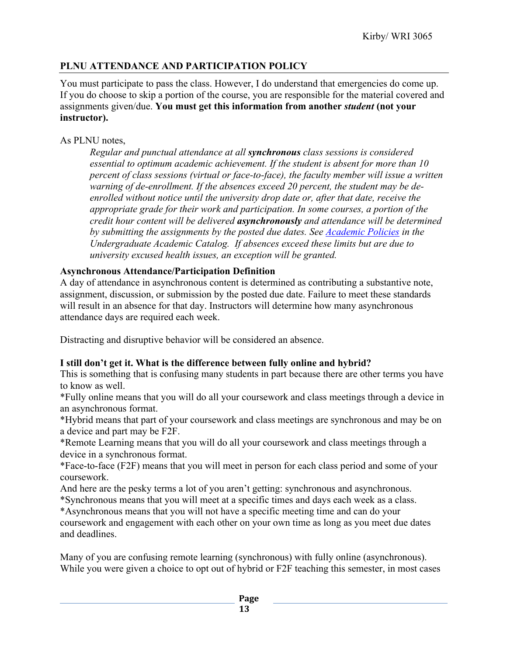## **PLNU ATTENDANCE AND PARTICIPATION POLICY**

You must participate to pass the class. However, I do understand that emergencies do come up. If you do choose to skip a portion of the course, you are responsible for the material covered and assignments given/due. **You must get this information from another** *student* **(not your instructor).** 

## As PLNU notes,

*Regular and punctual attendance at all synchronous class sessions is considered essential to optimum academic achievement. If the student is absent for more than 10 percent of class sessions (virtual or face-to-face), the faculty member will issue a written warning of de-enrollment. If the absences exceed 20 percent, the student may be deenrolled without notice until the university drop date or, after that date, receive the appropriate grade for their work and participation. In some courses, a portion of the credit hour content will be delivered asynchronously and attendance will be determined by submitting the assignments by the posted due dates. See Academic Policies in the Undergraduate Academic Catalog. If absences exceed these limits but are due to university excused health issues, an exception will be granted.*

## **Asynchronous Attendance/Participation Definition**

A day of attendance in asynchronous content is determined as contributing a substantive note, assignment, discussion, or submission by the posted due date. Failure to meet these standards will result in an absence for that day. Instructors will determine how many asynchronous attendance days are required each week.

Distracting and disruptive behavior will be considered an absence.

## **I still don't get it. What is the difference between fully online and hybrid?**

This is something that is confusing many students in part because there are other terms you have to know as well.

\*Fully online means that you will do all your coursework and class meetings through a device in an asynchronous format.

\*Hybrid means that part of your coursework and class meetings are synchronous and may be on a device and part may be F2F.

\*Remote Learning means that you will do all your coursework and class meetings through a device in a synchronous format.

\*Face-to-face (F2F) means that you will meet in person for each class period and some of your coursework.

And here are the pesky terms a lot of you aren't getting: synchronous and asynchronous.

\*Synchronous means that you will meet at a specific times and days each week as a class.

\*Asynchronous means that you will not have a specific meeting time and can do your coursework and engagement with each other on your own time as long as you meet due dates and deadlines.

Many of you are confusing remote learning (synchronous) with fully online (asynchronous). While you were given a choice to opt out of hybrid or F2F teaching this semester, in most cases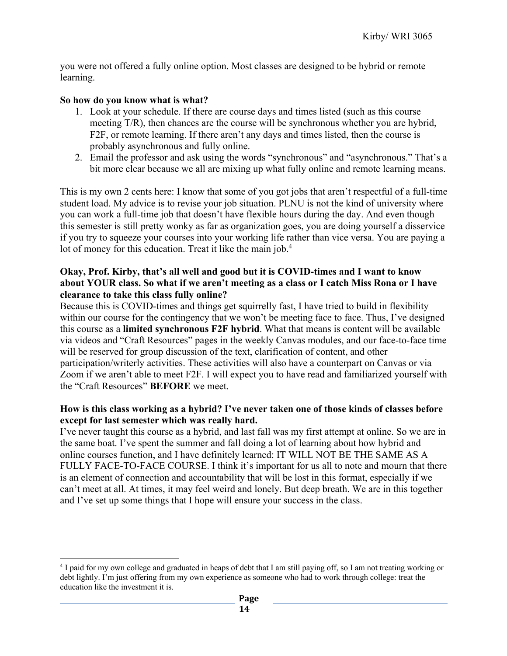you were not offered a fully online option. Most classes are designed to be hybrid or remote learning.

#### **So how do you know what is what?**

- 1. Look at your schedule. If there are course days and times listed (such as this course meeting T/R), then chances are the course will be synchronous whether you are hybrid, F2F, or remote learning. If there aren't any days and times listed, then the course is probably asynchronous and fully online.
- 2. Email the professor and ask using the words "synchronous" and "asynchronous." That's a bit more clear because we all are mixing up what fully online and remote learning means.

This is my own 2 cents here: I know that some of you got jobs that aren't respectful of a full-time student load. My advice is to revise your job situation. PLNU is not the kind of university where you can work a full-time job that doesn't have flexible hours during the day. And even though this semester is still pretty wonky as far as organization goes, you are doing yourself a disservice if you try to squeeze your courses into your working life rather than vice versa. You are paying a lot of money for this education. Treat it like the main job.<sup>4</sup>

#### **Okay, Prof. Kirby, that's all well and good but it is COVID-times and I want to know about YOUR class. So what if we aren't meeting as a class or I catch Miss Rona or I have clearance to take this class fully online?**

Because this is COVID-times and things get squirrelly fast, I have tried to build in flexibility within our course for the contingency that we won't be meeting face to face. Thus, I've designed this course as a **limited synchronous F2F hybrid**. What that means is content will be available via videos and "Craft Resources" pages in the weekly Canvas modules, and our face-to-face time will be reserved for group discussion of the text, clarification of content, and other participation/writerly activities. These activities will also have a counterpart on Canvas or via Zoom if we aren't able to meet F2F. I will expect you to have read and familiarized yourself with the "Craft Resources" **BEFORE** we meet.

#### **How is this class working as a hybrid? I've never taken one of those kinds of classes before except for last semester which was really hard.**

I've never taught this course as a hybrid, and last fall was my first attempt at online. So we are in the same boat. I've spent the summer and fall doing a lot of learning about how hybrid and online courses function, and I have definitely learned: IT WILL NOT BE THE SAME AS A FULLY FACE-TO-FACE COURSE. I think it's important for us all to note and mourn that there is an element of connection and accountability that will be lost in this format, especially if we can't meet at all. At times, it may feel weird and lonely. But deep breath. We are in this together and I've set up some things that I hope will ensure your success in the class.

<sup>4</sup> I paid for my own college and graduated in heaps of debt that I am still paying off, so I am not treating working or debt lightly. I'm just offering from my own experience as someone who had to work through college: treat the education like the investment it is.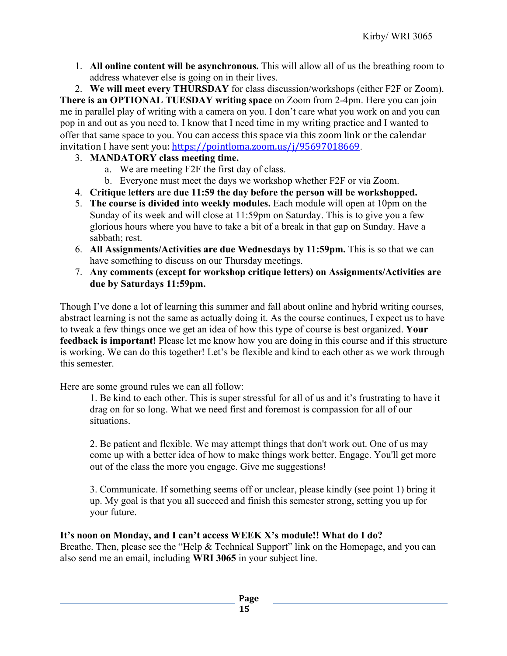1. **All online content will be asynchronous.** This will allow all of us the breathing room to address whatever else is going on in their lives.

2. **We will meet every THURSDAY** for class discussion/workshops (either F2F or Zoom).

**There is an OPTIONAL TUESDAY writing space** on Zoom from 2-4pm. Here you can join me in parallel play of writing with a camera on you. I don't care what you work on and you can pop in and out as you need to. I know that I need time in my writing practice and I wanted to offer that same space to you. You can access this space via this zoom link or the calendar invitation I have sent you: https://pointloma.zoom.us/j/95697018669.

- 3. **MANDATORY class meeting time.** 
	- a. We are meeting F2F the first day of class.
	- b. Everyone must meet the days we workshop whether F2F or via Zoom.
- 4. **Critique letters are due 11:59 the day before the person will be workshopped.**
- 5. **The course is divided into weekly modules.** Each module will open at 10pm on the Sunday of its week and will close at 11:59pm on Saturday. This is to give you a few glorious hours where you have to take a bit of a break in that gap on Sunday. Have a sabbath; rest.
- 6. **All Assignments/Activities are due Wednesdays by 11:59pm.** This is so that we can have something to discuss on our Thursday meetings.
- 7. **Any comments (except for workshop critique letters) on Assignments/Activities are due by Saturdays 11:59pm.**

Though I've done a lot of learning this summer and fall about online and hybrid writing courses, abstract learning is not the same as actually doing it. As the course continues, I expect us to have to tweak a few things once we get an idea of how this type of course is best organized. **Your feedback is important!** Please let me know how you are doing in this course and if this structure is working. We can do this together! Let's be flexible and kind to each other as we work through this semester.

Here are some ground rules we can all follow:

1. Be kind to each other. This is super stressful for all of us and it's frustrating to have it drag on for so long. What we need first and foremost is compassion for all of our situations.

2. Be patient and flexible. We may attempt things that don't work out. One of us may come up with a better idea of how to make things work better. Engage. You'll get more out of the class the more you engage. Give me suggestions!

3. Communicate. If something seems off or unclear, please kindly (see point 1) bring it up. My goal is that you all succeed and finish this semester strong, setting you up for your future.

## **It's noon on Monday, and I can't access WEEK X's module!! What do I do?**

Breathe. Then, please see the "Help & Technical Support" link on the Homepage, and you can also send me an email, including **WRI 3065** in your subject line.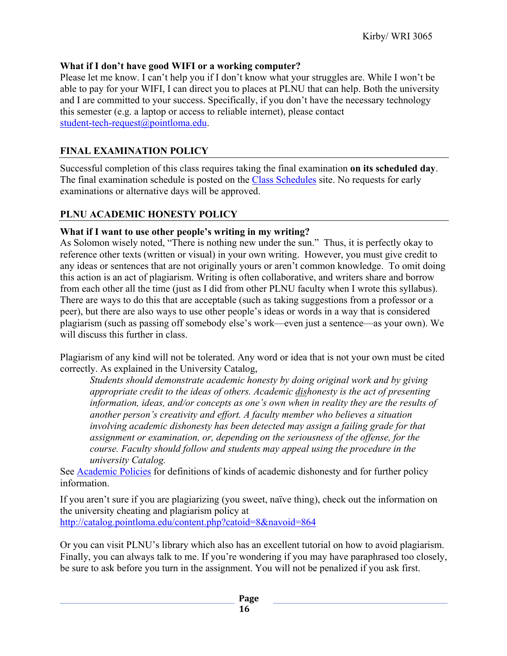## **What if I don't have good WIFI or a working computer?**

Please let me know. I can't help you if I don't know what your struggles are. While I won't be able to pay for your WIFI, I can direct you to places at PLNU that can help. Both the university and I are committed to your success. Specifically, if you don't have the necessary technology this semester (e.g. a laptop or access to reliable internet), please contact student-tech-request@pointloma.edu.

## **FINAL EXAMINATION POLICY**

Successful completion of this class requires taking the final examination **on its scheduled day**. The final examination schedule is posted on the Class Schedules site. No requests for early examinations or alternative days will be approved.

## **PLNU ACADEMIC HONESTY POLICY**

## **What if I want to use other people's writing in my writing?**

As Solomon wisely noted, "There is nothing new under the sun." Thus, it is perfectly okay to reference other texts (written or visual) in your own writing. However, you must give credit to any ideas or sentences that are not originally yours or aren't common knowledge. To omit doing this action is an act of plagiarism. Writing is often collaborative, and writers share and borrow from each other all the time (just as I did from other PLNU faculty when I wrote this syllabus). There are ways to do this that are acceptable (such as taking suggestions from a professor or a peer), but there are also ways to use other people's ideas or words in a way that is considered plagiarism (such as passing off somebody else's work—even just a sentence—as your own). We will discuss this further in class.

Plagiarism of any kind will not be tolerated. Any word or idea that is not your own must be cited correctly. As explained in the University Catalog,

*Students should demonstrate academic honesty by doing original work and by giving appropriate credit to the ideas of others. Academic dishonesty is the act of presenting information, ideas, and/or concepts as one's own when in reality they are the results of another person's creativity and effort. A faculty member who believes a situation involving academic dishonesty has been detected may assign a failing grade for that assignment or examination, or, depending on the seriousness of the offense, for the course. Faculty should follow and students may appeal using the procedure in the university Catalog.*

See Academic Policies for definitions of kinds of academic dishonesty and for further policy information.

If you aren't sure if you are plagiarizing (you sweet, naïve thing), check out the information on the university cheating and plagiarism policy at http://catalog.pointloma.edu/content.php?catoid=8&navoid=864

Or you can visit PLNU's library which also has an excellent tutorial on how to avoid plagiarism. Finally, you can always talk to me. If you're wondering if you may have paraphrased too closely, be sure to ask before you turn in the assignment. You will not be penalized if you ask first.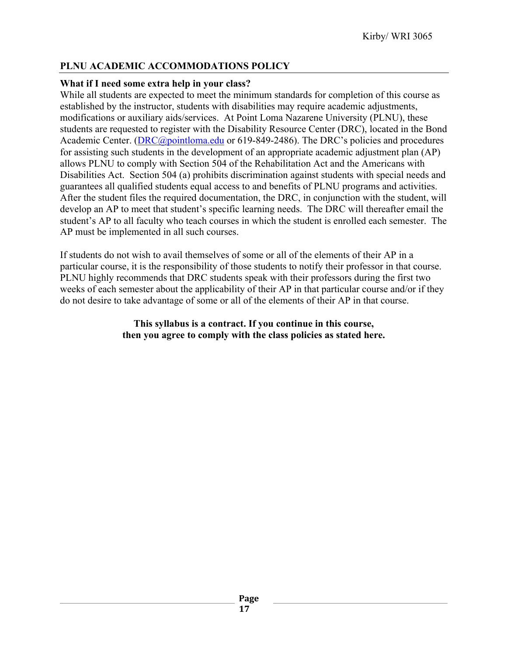## **PLNU ACADEMIC ACCOMMODATIONS POLICY**

## **What if I need some extra help in your class?**

While all students are expected to meet the minimum standards for completion of this course as established by the instructor, students with disabilities may require academic adjustments, modifications or auxiliary aids/services. At Point Loma Nazarene University (PLNU), these students are requested to register with the Disability Resource Center (DRC), located in the Bond Academic Center. (DRC@pointloma.edu or 619-849-2486). The DRC's policies and procedures for assisting such students in the development of an appropriate academic adjustment plan (AP) allows PLNU to comply with Section 504 of the Rehabilitation Act and the Americans with Disabilities Act. Section 504 (a) prohibits discrimination against students with special needs and guarantees all qualified students equal access to and benefits of PLNU programs and activities. After the student files the required documentation, the DRC, in conjunction with the student, will develop an AP to meet that student's specific learning needs. The DRC will thereafter email the student's AP to all faculty who teach courses in which the student is enrolled each semester. The AP must be implemented in all such courses.

If students do not wish to avail themselves of some or all of the elements of their AP in a particular course, it is the responsibility of those students to notify their professor in that course. PLNU highly recommends that DRC students speak with their professors during the first two weeks of each semester about the applicability of their AP in that particular course and/or if they do not desire to take advantage of some or all of the elements of their AP in that course.

## **This syllabus is a contract. If you continue in this course, then you agree to comply with the class policies as stated here.**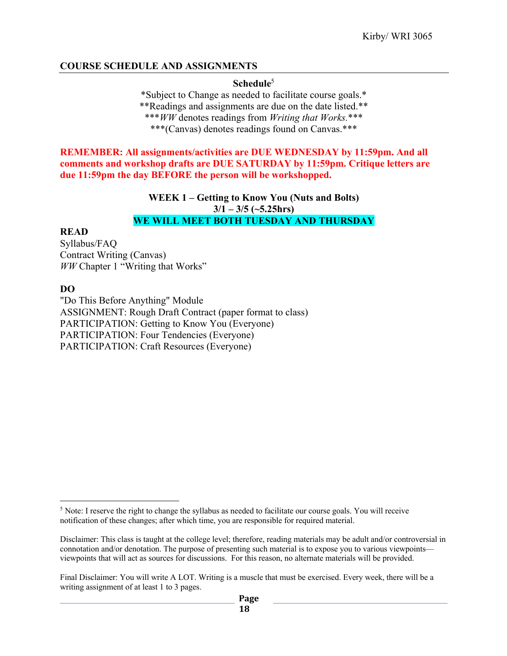## **COURSE SCHEDULE AND ASSIGNMENTS**

#### **Schedule**<sup>5</sup>

\*Subject to Change as needed to facilitate course goals.\* \*\*Readings and assignments are due on the date listed.\*\* \*\*\**WW* denotes readings from *Writing that Works.*\*\*\* \*\*\*(Canvas) denotes readings found on Canvas.\*\*\*

**REMEMBER: All assignments/activities are DUE WEDNESDAY by 11:59pm. And all comments and workshop drafts are DUE SATURDAY by 11:59pm. Critique letters are due 11:59pm the day BEFORE the person will be workshopped.** 

> **WEEK 1 – Getting to Know You (Nuts and Bolts) 3/1 – 3/5 (~5.25hrs) WE WILL MEET BOTH TUESDAY AND THURSDAY**

**READ**

Syllabus/FAQ Contract Writing (Canvas) *WW* Chapter 1 "Writing that Works"

**DO**

"Do This Before Anything" Module ASSIGNMENT: Rough Draft Contract (paper format to class) PARTICIPATION: Getting to Know You (Everyone) PARTICIPATION: Four Tendencies (Everyone) PARTICIPATION: Craft Resources (Everyone)

<sup>5</sup> Note: I reserve the right to change the syllabus as needed to facilitate our course goals. You will receive notification of these changes; after which time, you are responsible for required material.

Disclaimer: This class is taught at the college level; therefore, reading materials may be adult and/or controversial in connotation and/or denotation. The purpose of presenting such material is to expose you to various viewpoints viewpoints that will act as sources for discussions. For this reason, no alternate materials will be provided.

Final Disclaimer: You will write A LOT. Writing is a muscle that must be exercised. Every week, there will be a writing assignment of at least 1 to 3 pages.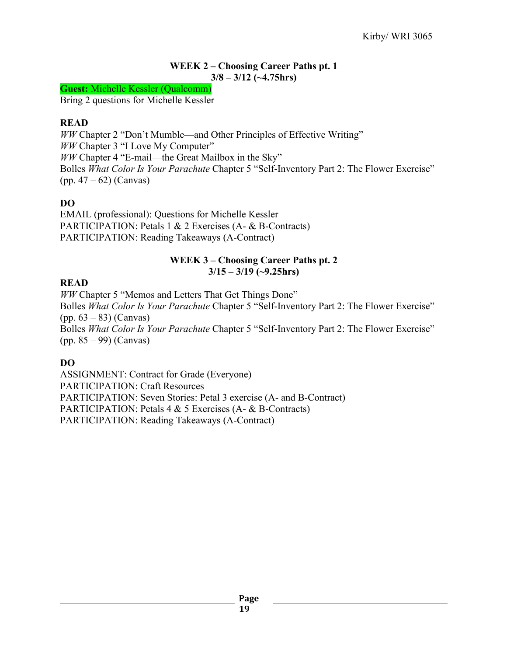## **WEEK 2 – Choosing Career Paths pt. 1 3/8 – 3/12 (~4.75hrs)**

**Guest:** Michelle Kessler (Qualcomm)

Bring 2 questions for Michelle Kessler

## **READ**

*WW* Chapter 2 "Don't Mumble—and Other Principles of Effective Writing" *WW* Chapter 3 "I Love My Computer" *WW* Chapter 4 "E-mail—the Great Mailbox in the Sky" Bolles *What Color Is Your Parachute* Chapter 5 "Self-Inventory Part 2: The Flower Exercise" (pp. 47 – 62) (Canvas)

## **DO**

EMAIL (professional): Questions for Michelle Kessler PARTICIPATION: Petals 1 & 2 Exercises (A- & B-Contracts) PARTICIPATION: Reading Takeaways (A-Contract)

## **WEEK 3 – Choosing Career Paths pt. 2 3/15 – 3/19 (~9.25hrs)**

## **READ**

*WW* Chapter 5 "Memos and Letters That Get Things Done" Bolles *What Color Is Your Parachute* Chapter 5 "Self-Inventory Part 2: The Flower Exercise"  $(pp. 63 - 83)$  (Canvas) Bolles *What Color Is Your Parachute* Chapter 5 "Self-Inventory Part 2: The Flower Exercise" (pp. 85 – 99) (Canvas)

## **DO**

ASSIGNMENT: Contract for Grade (Everyone) PARTICIPATION: Craft Resources PARTICIPATION: Seven Stories: Petal 3 exercise (A- and B-Contract) PARTICIPATION: Petals 4 & 5 Exercises (A- & B-Contracts) PARTICIPATION: Reading Takeaways (A-Contract)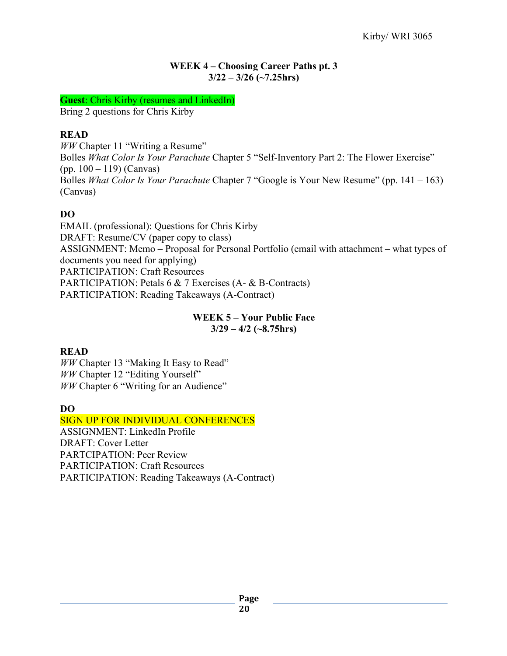## **WEEK 4 – Choosing Career Paths pt. 3 3/22 – 3/26 (~7.25hrs)**

**Guest**: Chris Kirby (resumes and LinkedIn)

Bring 2 questions for Chris Kirby

## **READ**

*WW* Chapter 11 "Writing a Resume" Bolles *What Color Is Your Parachute* Chapter 5 "Self-Inventory Part 2: The Flower Exercise" (pp. 100 – 119) (Canvas) Bolles *What Color Is Your Parachute* Chapter 7 "Google is Your New Resume" (pp. 141 – 163) (Canvas)

## **DO**

EMAIL (professional): Questions for Chris Kirby DRAFT: Resume/CV (paper copy to class) ASSIGNMENT: Memo – Proposal for Personal Portfolio (email with attachment – what types of documents you need for applying) PARTICIPATION: Craft Resources PARTICIPATION: Petals 6 & 7 Exercises (A- & B-Contracts) PARTICIPATION: Reading Takeaways (A-Contract)

## **WEEK 5 – Your Public Face 3/29 – 4/2 (~8.75hrs)**

## **READ**

*WW* Chapter 13 "Making It Easy to Read" *WW* Chapter 12 "Editing Yourself" *WW* Chapter 6 "Writing for an Audience"

## **DO**

SIGN UP FOR INDIVIDUAL CONFERENCES ASSIGNMENT: LinkedIn Profile DRAFT: Cover Letter PARTCIPATION: Peer Review PARTICIPATION: Craft Resources PARTICIPATION: Reading Takeaways (A-Contract)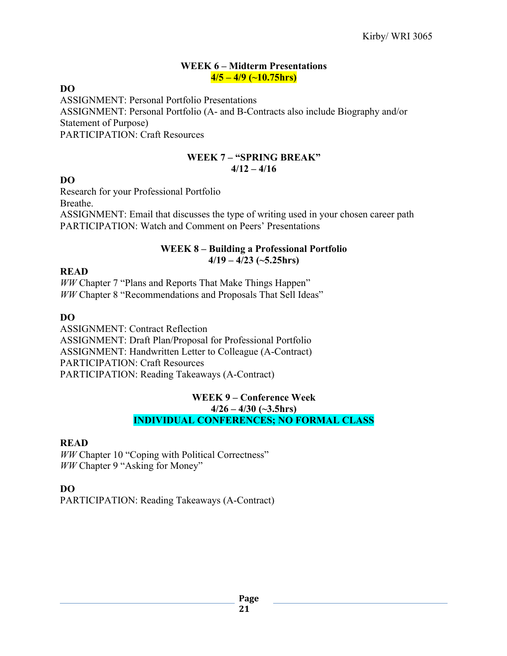#### **WEEK 6 – Midterm Presentations 4/5 – 4/9 (~10.75hrs)**

#### **DO**

ASSIGNMENT: Personal Portfolio Presentations ASSIGNMENT: Personal Portfolio (A- and B-Contracts also include Biography and/or Statement of Purpose) PARTICIPATION: Craft Resources

#### **WEEK 7 – "SPRING BREAK" 4/12 – 4/16**

## **DO**

Research for your Professional Portfolio Breathe. ASSIGNMENT: Email that discusses the type of writing used in your chosen career path PARTICIPATION: Watch and Comment on Peers' Presentations

## **WEEK 8 – Building a Professional Portfolio 4/19 – 4/23 (~5.25hrs)**

#### **READ**

*WW* Chapter 7 "Plans and Reports That Make Things Happen" *WW* Chapter 8 "Recommendations and Proposals That Sell Ideas"

## **DO**

ASSIGNMENT: Contract Reflection ASSIGNMENT: Draft Plan/Proposal for Professional Portfolio ASSIGNMENT: Handwritten Letter to Colleague (A-Contract) PARTICIPATION: Craft Resources PARTICIPATION: Reading Takeaways (A-Contract)

#### **WEEK 9 – Conference Week 4/26 – 4/30 (~3.5hrs) INDIVIDUAL CONFERENCES; NO FORMAL CLASS**

## **READ**

*WW* Chapter 10 "Coping with Political Correctness" *WW* Chapter 9 "Asking for Money"

## **DO**

PARTICIPATION: Reading Takeaways (A-Contract)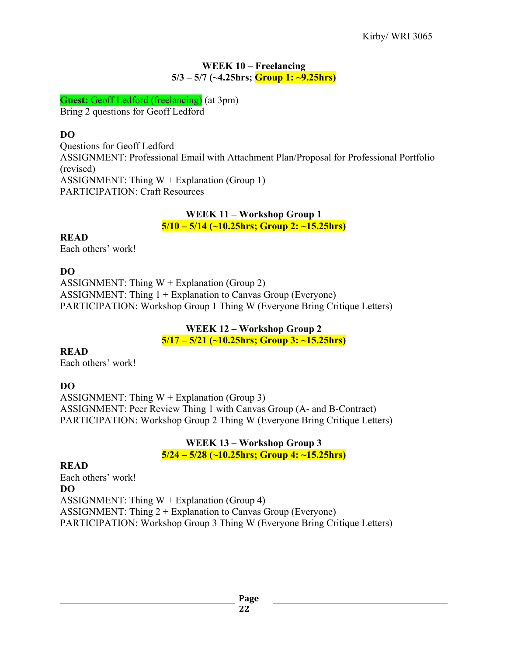### **WEEK 10 – Freelancing 5/3 – 5/7 (~4.25hrs; Group 1: ~9.25hrs)**

**Guest:** Geoff Ledford (freelancing) (at 3pm) Bring 2 questions for Geoff Ledford

## **DO**

Questions for Geoff Ledford ASSIGNMENT: Professional Email with Attachment Plan/Proposal for Professional Portfolio (revised) ASSIGNMENT: Thing  $W +$  Explanation (Group 1) PARTICIPATION: Craft Resources

#### **WEEK 11 – Workshop Group 1 5/10 – 5/14 (~10.25hrs; Group 2: ~15.25hrs)**

**READ** Each others' work!

## **DO**

ASSIGNMENT: Thing  $W +$  Explanation (Group 2) ASSIGNMENT: Thing 1 + Explanation to Canvas Group (Everyone) PARTICIPATION: Workshop Group 1 Thing W (Everyone Bring Critique Letters)

## **WEEK 12 – Workshop Group 2 5/17 – 5/21 (~10.25hrs; Group 3: ~15.25hrs)**

## **READ**

Each others' work!

## **DO**

ASSIGNMENT: Thing  $W +$  Explanation (Group 3) ASSIGNMENT: Peer Review Thing 1 with Canvas Group (A- and B-Contract) PARTICIPATION: Workshop Group 2 Thing W (Everyone Bring Critique Letters)

> **WEEK 13 – Workshop Group 3 5/24 – 5/28 (~10.25hrs; Group 4: ~15.25hrs)**

## **READ**

Each others' work! **DO** ASSIGNMENT: Thing  $W +$  Explanation (Group 4) ASSIGNMENT: Thing 2 + Explanation to Canvas Group (Everyone) PARTICIPATION: Workshop Group 3 Thing W (Everyone Bring Critique Letters)